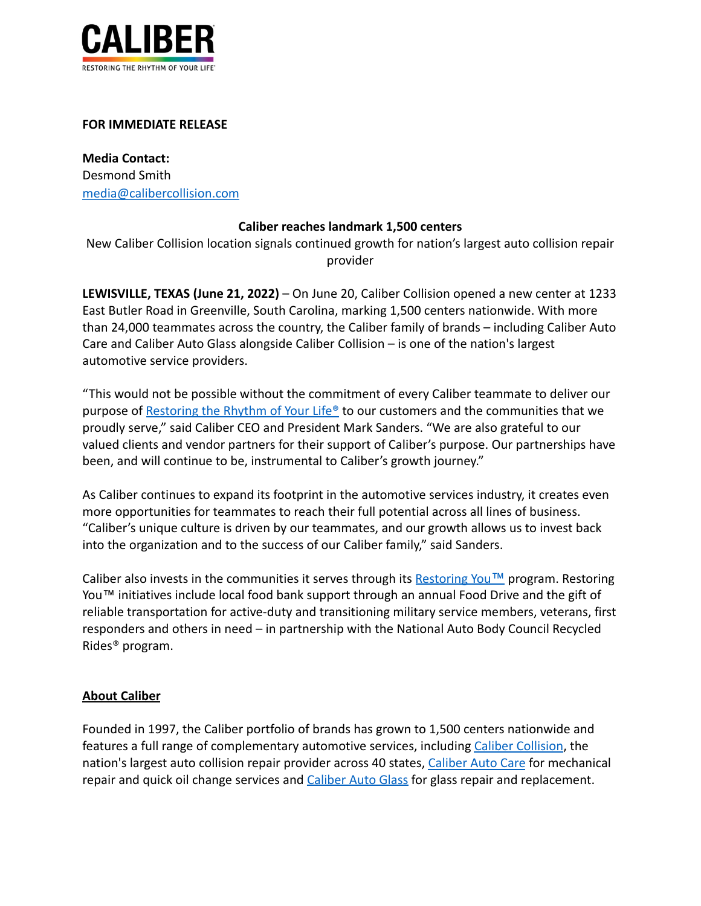

## **FOR IMMEDIATE RELEASE**

**Media Contact:** Desmond Smith [media@calibercollision.com](mailto:media@calibercollision.com)

## **Caliber reaches landmark 1,500 centers**

New Caliber Collision location signals continued growth for nation's largest auto collision repair provider

**LEWISVILLE, TEXAS (June 21, 2022)** – On June 20, Caliber Collision opened a new center at 1233 East Butler Road in Greenville, South Carolina, marking 1,500 centers nationwide. With more than 24,000 teammates across the country, the Caliber family of brands – including Caliber Auto Care and Caliber Auto Glass alongside Caliber Collision – is one of the nation's largest automotive service providers.

"This would not be possible without the commitment of every Caliber teammate to deliver our purpose of [Restoring the Rhythm of Your Life®](https://www.caliber.com/why-caliber) to our customers and the communities that we proudly serve," said Caliber CEO and President Mark Sanders. "We are also grateful to our valued clients and vendor partners for their support of Caliber's purpose. Our partnerships have been, and will continue to be, instrumental to Caliber's growth journey."

As Caliber continues to expand its footprint in the automotive services industry, it creates even more opportunities for teammates to reach their full potential across all lines of business. "Caliber's unique culture is driven by our teammates, and our growth allows us to invest back into the organization and to the success of our Caliber family," said Sanders.

Caliber also invests in the communities it serves through its [Restoring You](https://www.caliber.com/why-caliber/restoring-you)<sup>TM</sup> program. Restoring You™ initiatives include local food bank support through an annual Food Drive and the gift of reliable transportation for active-duty and transitioning military service members, veterans, first responders and others in need – in partnership with the National Auto Body Council Recycled Rides® program.

## **About Caliber**

Founded in 1997, the Caliber portfolio of brands has grown to 1,500 centers nationwide and features a full range of complementary automotive services, including [Caliber Collision](https://www.caliber.com/services/collision), the nation's largest auto collision repair provider across 40 states, [Caliber Auto Care](https://www.caliber.com/services/auto-care) for mechanical repair and quick oil change services and [Caliber Auto](https://www.caliber.com/services/auto-glass) Glass for glass repair and replacement.